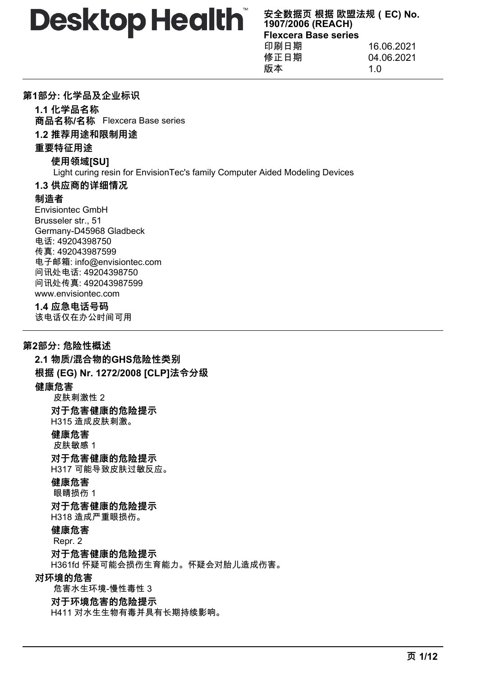**安全数据页 根据 欧盟法规(EC) No. 1907/2006 (REACH) Flexcera Base series** 印刷日期 16.06.2021 修正日期 04.06.2021

版本 1.0

### **第1部分: 化学品及企业标识**

**1.1 化学品名称**

**商品名称/名称** Flexcera Base series

# **1.2 推荐用途和限制用途**

### **重要特征用途**

### **使用领域[SU]**

Light curing resin for EnvisionTec's family Computer Aided Modeling Devices

### **1.3 供应商的详细情况**

### **制造者**

Envisiontec GmbH Brusseler str., 51 Germany-D45968 Gladbeck 电话: 49204398750 传真: 492043987599 电子邮箱: info@envisiontec.com 问讯处电话: 49204398750 问讯处传真: 492043987599 www.envisiontec.com

### **1.4 应急电话号码**

该电话仅在办公时间可用

# **第2部分: 危险性概述**

**2.1 物质/混合物的GHS危险性类别 根据 (EG) Nr. 1272/2008 [CLP]法令分级 健康危害** 皮肤刺激性 2 **对于危害健康的危险提示** H315 造成皮肤刺激。 **健康危害** 皮肤敏感 1 **对于危害健康的危险提示** H317 可能导致皮肤过敏反应。 **健康危害** 眼睛损伤 1 **对于危害健康的危险提示** H318 造成严重眼损伤。 **健康危害** Repr. 2 **对于危害健康的危险提示** H361fd 怀疑可能会损伤生育能力。怀疑会对胎儿造成伤害。 **对环境的危害** 危害水生环境-慢性毒性 3 **对于环境危害的危险提示** H411 对水生生物有毒并具有长期持续影响。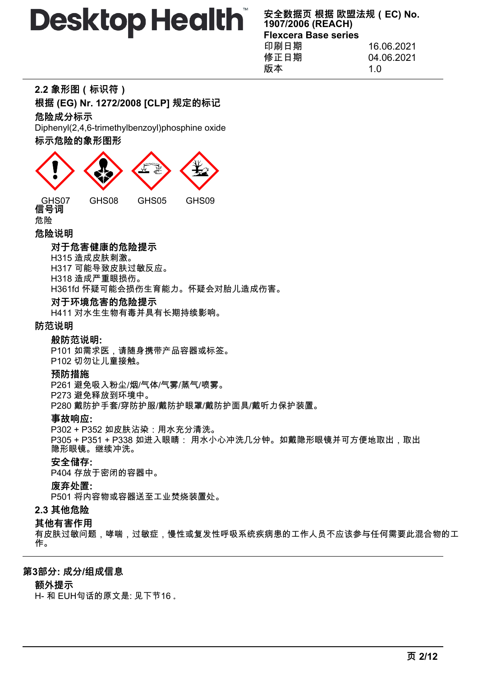**安全数据页 根据 欧盟法规(EC) No. 1907/2006 (REACH) Flexcera Base series** 印刷日期 16.06.2021 修正日期 04.06.2021 版本 1.0

|  |  | 2.2 象形图(标识符) |  |
|--|--|--------------|--|
|--|--|--------------|--|

**根据 (EG) Nr. 1272/2008 [CLP] 规定的标记**

**危险成分标示**

Diphenyl(2,4,6-trimethylbenzoyl)phosphine oxide

### **标示危险的象形图形**



### **危险说明**

### **对于危害健康的危险提示**

H315 造成皮肤刺激。

H317 可能导致皮肤过敏反应。

H318 造成严重眼损伤。

H361fd 怀疑可能会损伤生育能力。怀疑会对胎儿造成伤害。

### **对于环境危害的危险提示**

H411 对水生生物有毒并具有长期持续影响。

### **防范说明**

### **般防范说明:**

P101 如需求医,请随身携带产品容器或标签。 P102 切勿让儿童接触。

### **预防措施**

P261 避免吸入粉尘/烟/气体/气雾/蒸气/喷雾。 P273 避免释放到环境中。

P280 戴防护手套/穿防护服/戴防护眼罩/戴防护面具/戴听力保护装置。

### **事故响应:**

P302 + P352 如皮肤沾染:用水充分清洗。 P305 + P351 + P338 如进入眼睛: 用水小心冲洗几分钟。如戴隐形眼镜并可方便地取出,取出 隐形眼镜。继续冲洗。

### **安全储存:**

P404 存放于密闭的容器中。

### **废弃处置:**

P501 将内容物或容器送至工业焚烧装置处。

# **2.3 其他危险**

### **其他有害作用**

有皮肤过敏问题,哮喘,过敏症,慢性或复发性呼吸系统疾病患的工作人员不应该参与任何需要此混合物的工 作。

### **第3部分: 成分/组成信息**

### **额外提示**

H- 和 EUH句话的原文是: 见下节16 。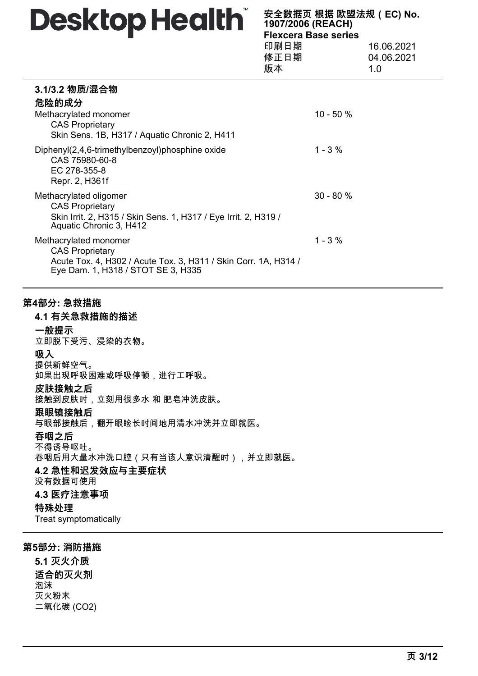| 安全数据页 根据 欧盟法规 (EC) No.<br>1907/2006 (REACH) |            |  |
|---------------------------------------------|------------|--|
| <b>Flexcera Base series</b>                 |            |  |
| 印刷日期                                        | 16.06.2021 |  |
| 修正日期<br>04.06.2021                          |            |  |
|                                             |            |  |

|                                                                                                                                                          |              | 1.0 |
|----------------------------------------------------------------------------------------------------------------------------------------------------------|--------------|-----|
| 3.1/3.2 物质/混合物<br>危险的成分<br>Methacrylated monomer<br><b>CAS Proprietary</b><br>Skin Sens. 1B, H317 / Aquatic Chronic 2, H411                              | $10 - 50 \%$ |     |
| Diphenyl(2,4,6-trimethylbenzoyl)phosphine oxide<br>CAS 75980-60-8<br>EC 278-355-8<br>Repr. 2, H361f                                                      | $1 - 3 \%$   |     |
| Methacrylated oligomer<br><b>CAS Proprietary</b><br>Skin Irrit. 2, H315 / Skin Sens. 1, H317 / Eye Irrit. 2, H319 /<br>Aquatic Chronic 3, H412           | $30 - 80 %$  |     |
| Methacrylated monomer<br><b>CAS Proprietary</b><br>Acute Tox. 4, H302 / Acute Tox. 3, H311 / Skin Corr. 1A, H314 /<br>Eye Dam. 1, H318 / STOT SE 3, H335 | $1 - 3 \%$   |     |

# **第4部分: 急救措施**

### **4.1 有关急救措施的描述**

#### **一般提示**

立即脱下受污、浸染的衣物。

#### **吸入**

提供新鲜空气。 如果出现呼吸困难或呼吸停顿,进行工呼吸。

### **皮肤接触之后**

接触到皮肤时,立刻用很多水 和 肥皂冲洗皮肤。

### **跟眼镜接触后**

与眼部接触后,翻开眼睑长时间地用清水冲洗并立即就医。

### **吞咽之后**

不得诱导呕吐。

吞咽后用大量水冲洗口腔(只有当该人意识清醒时),并立即就医。

### **4.2 急性和迟发效应与主要症状**

没有数据可使用

### **4.3 医疗注意事项**

### **特殊处理**

Treat symptomatically

### **第5部分: 消防措施**

**5.1 灭火介质 适合的灭火剂** 泡沫 灭火粉末 二氧化碳 (CO2)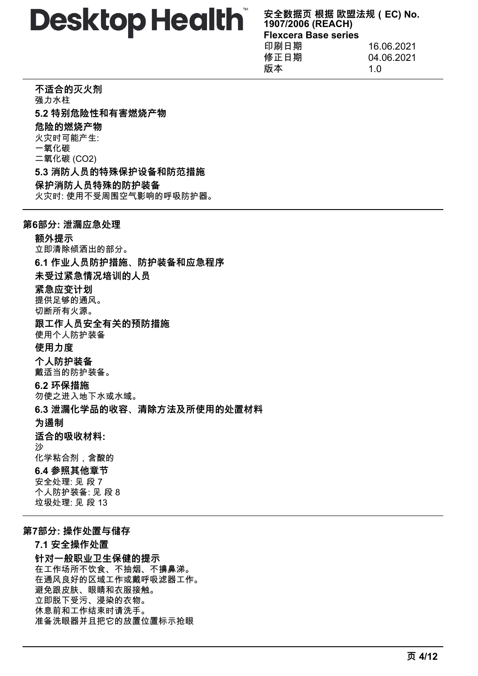**安全数据页 根据 欧盟法规(EC) No. 1907/2006 (REACH) Flexcera Base series** 印刷日期 16.06.2021 修正日期 04.06.2021

版本 1.0

**不适合的灭火剂** 强力水柱 **5.2 特别危险性和有害燃烧产物 危险的燃烧产物** 火灾时可能产生: 一氧化碳 二氧化碳 (CO2) **5.3 消防人员的特殊保护设备和防范措施 保护消防人员特殊的防护装备** 火灾时: 使用不受周围空气影响的呼吸防护器。

### **第6部分: 泄漏应急处理**

**额外提示** 立即清除倾洒出的部分。 **6.1 作业人员防护措施、防护装备和应急程序 未受过紧急情况培训的人员 紧急应变计划** 提供足够的通风。 切断所有火源。 **跟工作人员安全有关的预防措施** 使用个人防护装备 **使用力度 个人防护装备** 戴适当的防护装备。 **6.2 环保措施** 勿使之进入地下水或水域。 **6.3 泄漏化学品的收容、清除方法及所使用的处置材料 为遏制 适合的吸收材料:** 沙 化学粘合剂,含酸的 **6.4 参照其他章节** 安全处理: 见 段 7 个人防护装备: 见 段 8 垃圾处理: 见 段 13

### **第7部分: 操作处置与储存**

**7.1 安全操作处置 针对一般职业卫生保健的提示** 在工作场所不饮食、不抽烟、不擤鼻涕。 在通风良好的区域工作或戴呼吸滤器工作。 避免跟皮肤、眼睛和衣服接触。 立即脱下受污、浸染的衣物。 休息前和工作结束时请洗手。 准备洗眼器并且把它的放置位置标示抢眼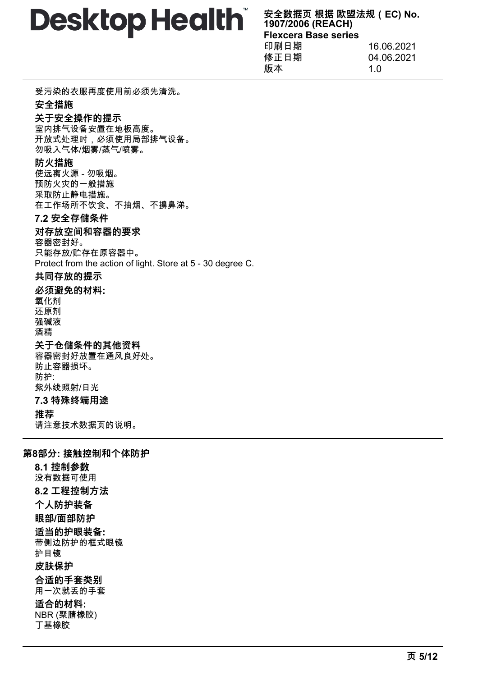**安全数据页 根据 欧盟法规(EC) No. 1907/2006 (REACH) Flexcera Base series** 印刷日期 16.06.2021

| 印刷日期 | 16.06.2021 |
|------|------------|
| 修正日期 | 04.06.2021 |
| 版本   | 1 በ        |
|      |            |

受污染的衣服再度使用前必须先清洗。

# **安全措施**

### **关于安全操作的提示**

室内排气设备安置在地板高度。 开放式处理时,必须使用局部排气设备。 勿吸入气体/烟雾/蒸气/喷雾。

### **防火措施**

使远离火源 - 勿吸烟。 预防火灾的一般措施 采取防止静电措施。 在工作场所不饮食、不抽烟、不擤鼻涕。

### **7.2 安全存储条件**

# **对存放空间和容器的要求**

容器密封好。 只能存放/贮存在原容器中。 Protect from the action of light. Store at 5 - 30 degree C.

### **共同存放的提示**

**必须避免的材料:** 氧化剂 还原剂 强碱液

酒精

# **关于仓储条件的其他资料**

容器密封好放置在通风良好处。 防止容器损坏。 防护: 紫外线照射/日光 **7.3 特殊终端用途**

# **推荐**

请注意技术数据页的说明。

# **第8部分: 接触控制和个体防护**

**8.1 控制参数** 没有数据可使用 **8.2 工程控制方法 个人防护装备 眼部/面部防护 适当的护眼装备:** 带侧边防护的框式眼镜 护目镜 **皮肤保护 合适的手套类别** 用一次就丢的手套 **适合的材料:** NBR (聚腈橡胶) 丁基橡胶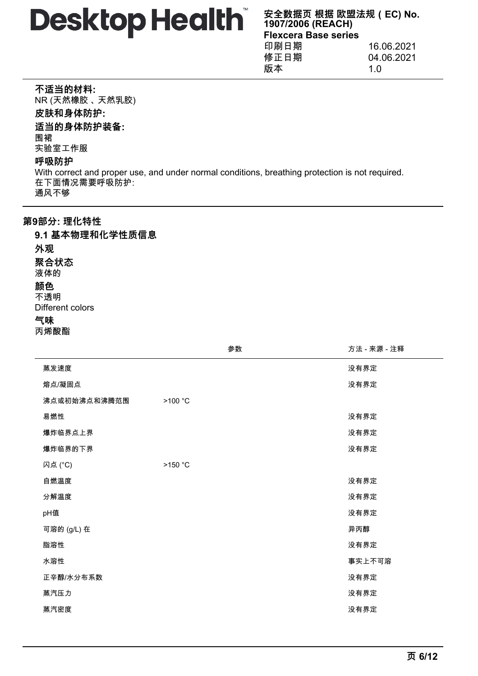**安全数据页 根据 欧盟法规(EC) No. 1907/2006 (REACH) Flexcera Base series** 印刷日期 16.06.2021 修正日期 04.06.2021

版本 1.0

|  | 不适当的材料: |
|--|---------|
|--|---------|

NR (天然橡胶 、 天然乳胶) **皮肤和身体防护: 适当的身体防护装备:** 围裙 实验室工作服 **呼吸防护**

With correct and proper use, and under normal conditions, breathing protection is not required. 在下面情况需要呼吸防护: 通风不够

### **第9部分: 理化特性**

**9.1 基本物理和化学性质信息 外观 聚合状态** 液体的 **颜色** 不透明 Different colors

**气味**

丙烯酸酯

 $\overline{a}$ 

|              | 参数      | 方法 - 来源 - 注释 |
|--------------|---------|--------------|
| 蒸发速度         |         | 没有界定         |
| 熔点/凝固点       |         | 没有界定         |
| 沸点或初始沸点和沸腾范围 | >100 °C |              |
| 易燃性          |         | 没有界定         |
| 爆炸临界点上界      |         | 没有界定         |
| 爆炸临界的下界      |         | 没有界定         |
| 闪点 (°C)      | >150 °C |              |
| 自燃温度         |         | 没有界定         |
| 分解温度         |         | 没有界定         |
| pH值          |         | 没有界定         |
| 可溶的 (g/L) 在  |         | 异丙醇          |
| 脂溶性          |         | 没有界定         |
| 水溶性          |         | 事实上不可溶       |
| 正辛醇/水分布系数    |         | 没有界定         |
| 蒸汽压力         |         | 没有界定         |
| 蒸汽密度         |         | 没有界定         |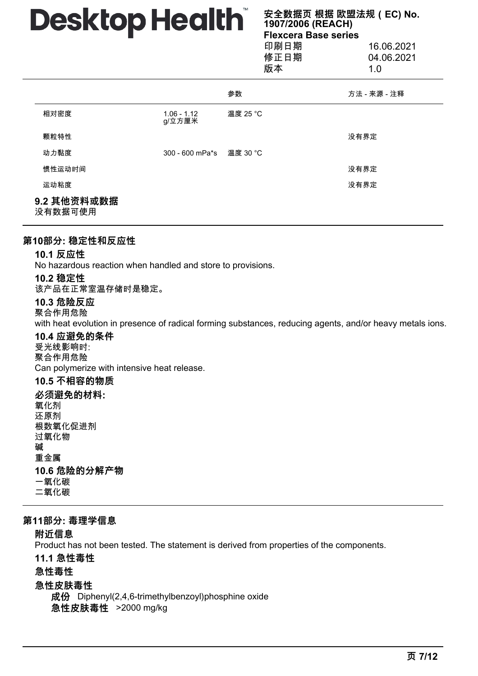**安全数据页 根据 欧盟法规(EC) No. 1907/2006 (REACH) Flexcera Base series** 印刷日期 16.06.2021 修正日期 04.06.2021 版本 1.0

|                        |                         | $\cdots$ |              |
|------------------------|-------------------------|----------|--------------|
|                        |                         | 参数       | 方法 - 来源 - 注释 |
| 相对密度                   | $1.06 - 1.12$<br>g/立方厘米 | 温度 25 °C |              |
| 颗粒特性                   |                         |          | 没有界定         |
| 动力黏度                   | 300 - 600 mPa*s         | 温度 30 °C |              |
| 惯性运动时间                 |                         |          | 没有界定         |
| 运动粘度                   |                         |          | 没有界定         |
| 9.2 其他资料或数据<br>没有数据可使用 |                         |          |              |

### **第10部分: 稳定性和反应性**

### **10.1 反应性**

No hazardous reaction when handled and store to provisions.

### **10.2 稳定性**

该产品在正常室温存储时是稳定。

### **10.3 危险反应**

聚合作用危险

with heat evolution in presence of radical forming substances, reducing agents, and/or heavy metals ions.

### **10.4 应避免的条件**

受光线影响时: 聚合作用危险 Can polymerize with intensive heat release.

### **10.5 不相容的物质**

**必须避免的材料:** 氧化剂 还原剂 根数氧化促进剂 过氧化物 碱 重金属 **10.6 危险的分解产物** 一氧化碳 二氧化碳

### **第11部分: 毒理学信息**

# **附近信息**

Product has not been tested. The statement is derived from properties of the components.

### **11.1 急性毒性**

**急性毒性**

### **急性皮肤毒性**

**成份** Diphenyl(2,4,6-trimethylbenzoyl)phosphine oxide **急性皮肤毒性** >2000 mg/kg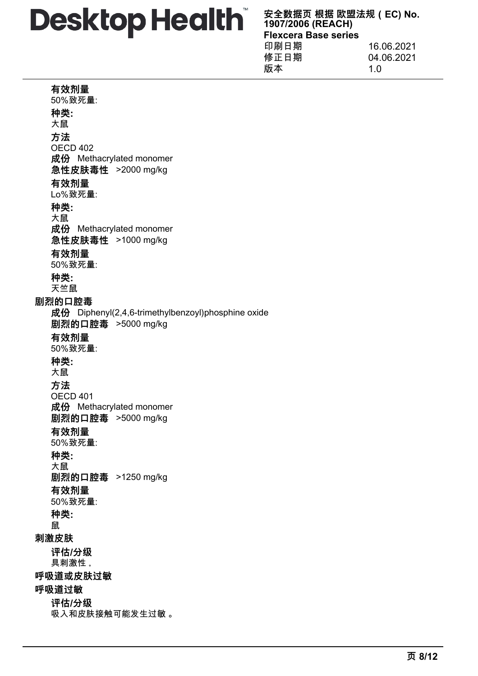**安全数据页 根据 欧盟法规(EC) No. 1907/2006 (REACH) Flexcera Base series**

| 印刷日期<br>修正日期 | 16.06.2021<br>04.06.2021 |
|--------------|--------------------------|
| 版本           | 1 በ                      |
|              |                          |

### **有效剂量**

50%致死量: **种类:** 大鼠 **方法** OECD 402 **成份** Methacrylated monomer **急性皮肤毒性** >2000 mg/kg **有效剂量** Lo%致死量: **种类:** 大鼠 **成份** Methacrylated monomer **急性皮肤毒性** >1000 mg/kg **有效剂量** 50%致死量: **种类:** 天竺鼠 **剧烈的口腔毒 成份** Diphenyl(2,4,6-trimethylbenzoyl)phosphine oxide **剧烈的口腔毒** >5000 mg/kg **有效剂量** 50%致死量: **种类:** 大鼠 **方法** OECD 401 **成份** Methacrylated monomer **剧烈的口腔毒** >5000 mg/kg **有效剂量** 50%致死量: **种类:** 大鼠 **剧烈的口腔毒** >1250 mg/kg **有效剂量** 50%致死量: **种类:** 鼠 **刺激皮肤 评估/分级** 具刺激性 。 **呼吸道或皮肤过敏 呼吸道过敏 评估/分级** 吸入和皮肤接触可能发生过敏 。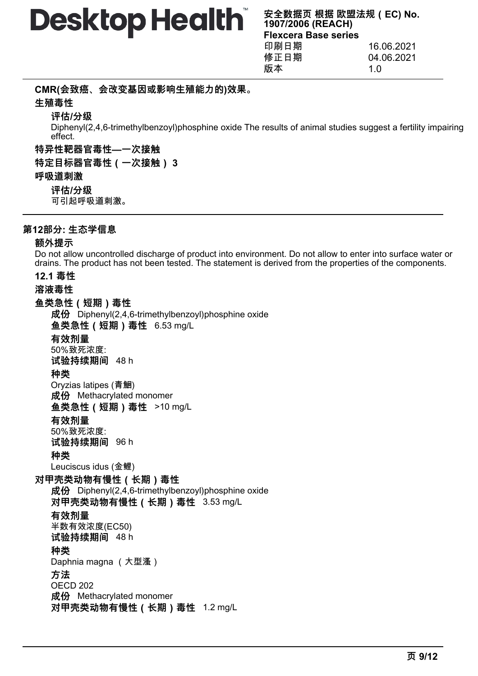**CMR(会致癌、会改变基因或影响生殖能力的)效果。**

# **生殖毒性**

**评估/分级**

Diphenyl(2,4,6-trimethylbenzoyl)phosphine oxide The results of animal studies suggest a fertility impairing effect.

**特异性靶器官毒性—一次接触**

**特定目标器官毒性(一次接触) 3**

# **呼吸道刺激**

**评估/分级**

可引起呼吸道刺激。

# **第12部分: 生态学信息**

# **额外提示**

Do not allow uncontrolled discharge of product into environment. Do not allow to enter into surface water or drains. The product has not been tested. The statement is derived from the properties of the components.

# **12.1 毒性**

# **溶液毒性**

# **鱼类急性(短期)毒性**

**成份** Diphenyl(2,4,6-trimethylbenzoyl)phosphine oxide **鱼类急性(短期)毒性** 6.53 mg/L

### **有效剂量** 50%致死浓度:

**试验持续期间** 48 h

# **种类**

Oryzias latipes (青鮰) **成份** Methacrylated monomer **鱼类急性(短期)毒性** >10 mg/L

# **有效剂量**

50%致死浓度:

**试验持续期间** 96 h

# **种类**

Leuciscus idus (金鲤)

# **对甲壳类动物有慢性(长期)毒性**

**成份** Diphenyl(2,4,6-trimethylbenzoyl)phosphine oxide **对甲壳类动物有慢性(长期)毒性** 3.53 mg/L

# **有效剂量**

半数有效浓度(EC50) **试验持续期间** 48 h

# **种类**

Daphnia magna (大型溞)

# **方法**

OECD 202 **成份** Methacrylated monomer **对甲壳类动物有慢性(长期)毒性** 1.2 mg/L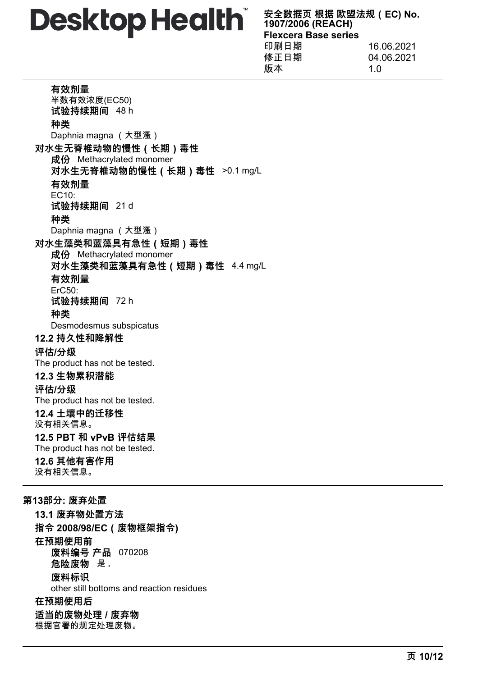**安全数据页 根据 欧盟法规(EC) No. 1907/2006 (REACH) Flexcera Base series** 印刷日期 16.06.2021

| 印刷日期 | 16.06.2021 |
|------|------------|
| 修正日期 | 04.06.2021 |
| 版本   | 1 በ        |
|      |            |

### **有效剂量**

半数有效浓度(EC50) **试验持续期间** 48 h **种类** Daphnia magna (大型溞) **对水生无脊椎动物的慢性(长期)毒性 成份** Methacrylated monomer **对水生无脊椎动物的慢性(长期)毒性** >0.1 mg/L **有效剂量** EC10: **试验持续期间** 21 d **种类** Daphnia magna (大型溞) **对水生藻类和蓝藻具有急性(短期)毒性 成份** Methacrylated monomer **对水生藻类和蓝藻具有急性(短期)毒性** 4.4 mg/L **有效剂量** ErC50: **试验持续期间** 72 h **种类** Desmodesmus subspicatus **12.2 持久性和降解性 评估/分级** The product has not be tested. **12.3 生物累积潜能 评估/分级** The product has not be tested. **12.4 土壤中的迁移性** 没有相关信息。 **12.5 PBT 和 vPvB 评估结果** The product has not be tested. **12.6 其他有害作用** 没有相关信息。

**第13部分: 废弃处置 13.1 废弃物处置方法 指令 2008/98/EC(废物框架指令) 在预期使用前 废料编号 产品** 070208 **危险废物** 是 。 **废料标识** other still bottoms and reaction residues **在预期使用后 适当的废物处理 / 废弃物** 根据官署的规定处理废物。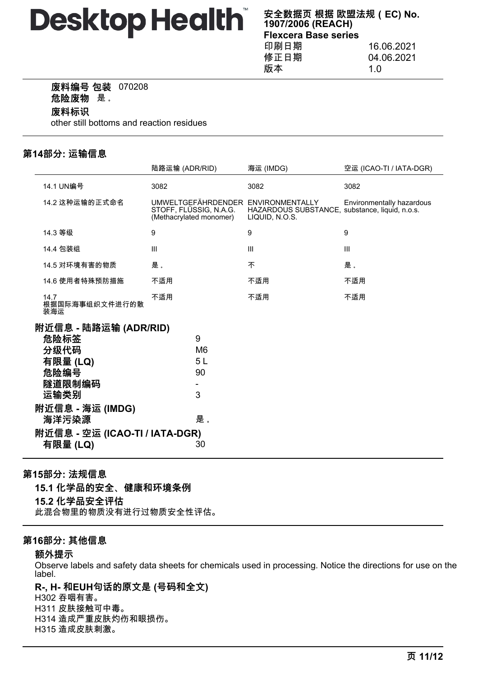**安全数据页 根据 欧盟法规(EC) No. 1907/2006 (REACH) Flexcera Base series**

印刷日期 16.06.2021 修正日期 04.06.2021 版本 1.0

### **废料编号 包装** 070208

**危险废物** 是 。

### **废料标识**

other still bottoms and reaction residues

# **第14部分: 运输信息**

|                                                                                                                                            | 陆路运输 (ADR/RID)                                                                          | 海运 (IMDG)                                                        | 空运 (ICAO-TI / IATA-DGR)   |
|--------------------------------------------------------------------------------------------------------------------------------------------|-----------------------------------------------------------------------------------------|------------------------------------------------------------------|---------------------------|
| 14.1 UN编号                                                                                                                                  | 3082                                                                                    | 3082                                                             | 3082                      |
| 14.2 这种运输的正式命名                                                                                                                             | UMWELTGEFÄHRDENDER ENVIRONMENTALLY<br>STOFF, FLÜSSIG, N.A.G.<br>(Methacrylated monomer) | HAZARDOUS SUBSTANCE, substance, liquid, n.o.s.<br>LIQUID, N.O.S. | Environmentally hazardous |
| 14.3 等级                                                                                                                                    | 9                                                                                       | 9                                                                | 9                         |
| 14.4 包装组                                                                                                                                   | III                                                                                     | III                                                              | III                       |
| 14.5 对环境有害的物质                                                                                                                              | 是。                                                                                      | 不                                                                | 是。                        |
| 14.6 使用者特殊预防措施                                                                                                                             | 不适用                                                                                     | 不适用                                                              | 不适用                       |
| 14.7<br>根据国际海事组织文件进行的散<br>装海运                                                                                                              | 不适用                                                                                     | 不适用                                                              | 不适用                       |
| 附近信息 - 陆路运输 (ADR/RID)<br>危险标签<br>分级代码<br>有限量 (LQ)<br>危险编号<br>隧道限制编码<br>运输类别<br>附近信息 - 海运 (IMDG)<br>海洋污染源<br>附近信息 - 空运 (ICAO-TI / IATA-DGR) | 9<br>M6<br>5 <sub>L</sub><br>90<br>3<br>是。                                              |                                                                  |                           |
| 有限量 (LQ)                                                                                                                                   | 30                                                                                      |                                                                  |                           |

# **第15部分: 法规信息**

**15.1 化学品的安全、健康和环境条例 15.2 化学品安全评估** 此混合物里的物质没有进行过物质安全性评估。

# **第16部分: 其他信息**

### **额外提示**

Observe labels and safety data sheets for chemicals used in processing. Notice the directions for use on the label.

**R-, H- 和EUH句话的原文是 (号码和全文)** H302 吞咽有害。 H311 皮肤接触可中毒。 H314 造成严重皮肤灼伤和眼损伤。 H315 造成皮肤刺激。